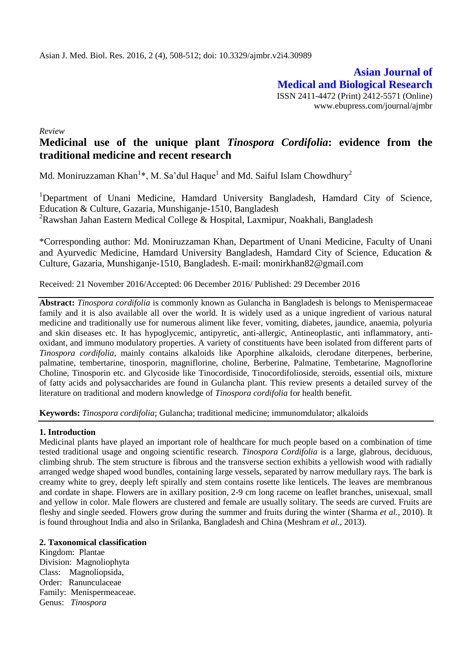**Asian Journal of Medical and Biological Research** ISSN 2411-4472 (Print) 2412-5571 (Online) www.ebupress.com/journal/ajmbr

*Review*

# **Medicinal use of the unique plant** *Tinospora Cordifolia***: evidence from the traditional medicine and recent research**

Md. Moniruzzaman Khan<sup>1</sup>\*, M. Sa'dul Haque<sup>1</sup> and Md. Saiful Islam Chowdhury<sup>2</sup>

<sup>1</sup>Department of Unani Medicine, Hamdard University Bangladesh, Hamdard City of Science, Education & Culture, Gazaria, Munshiganje-1510, Bangladesh <sup>2</sup>Rawshan Jahan Eastern Medical College & Hospital, Laxmipur, Noakhali, Bangladesh

\*Corresponding author: Md. Moniruzzaman Khan, Department of Unani Medicine, Faculty of Unani and Ayurvedic Medicine, Hamdard University Bangladesh, Hamdard City of Science, Education & Culture, Gazaria, Munshiganje-1510, Bangladesh. E-mail: [monirkhan82@gmail.com](mailto:monirkhan82@gmail.com)

Received: 21 November 2016/Accepted: 06 December 2016/ Published: 29 December 2016

**Abstract:** *Tinospora cordifolia* is commonly known as Gulancha in Bangladesh is belongs to Menispermaceae family and it is also available all over the world. It is widely used as a unique ingredient of various natural medicine and traditionally use for numerous aliment like fever, vomiting, diabetes, jaundice, anaemia, polyuria and skin diseases etc. It has hypoglycemic, antipyretic, anti-allergic, Antineoplastic, anti inflammatory, antioxidant, and immuno modulatory properties. A variety of constituents have been isolated from different parts of *Tinospora cordifolia*, mainly contains alkaloids like Aporphine alkaloids, clerodane diterpenes, berberine, palmatine, tembertarine, tinosporin, magniflorine, choline, Berberine, Palmatine, Tembetarine, Magnoflorine Choline, Tinosporin etc. and Glycoside like Tinocordiside, Tinocordifolioside, steroids, essential oils, mixture of fatty acids and polysaccharides are found in Gulancha plant. This review presents a detailed survey of the literature on traditional and modern knowledge of *Tinospora cordifolia* for health benefit.

**Keywords:** *Tinospora cordifolia*; Gulancha; traditional medicine; immunomdulator; alkaloids

### **1. Introduction**

Medicinal plants have played an important role of healthcare for much people based on a combination of time tested traditional usage and ongoing scientific research. *Tinospora Cordifolia* is a large, glabrous, deciduous, climbing shrub. The stem structure is fibrous and the transverse section exhibits a yellowish wood with radially arranged wedge shaped wood bundles, containing large vessels, separated by narrow medullary rays. The bark is creamy white to grey, deeply left spirally and stem contains rosette like lenticels. The leaves are membranous and cordate in shape. Flowers are in axillary position, 2-9 cm long raceme on leaflet branches, unisexual, small and yellow in color. Male flowers are clustered and female are usually solitary. The seeds are curved. Fruits are fleshy and single seeded. Flowers grow during the summer and fruits during the winter (Sharma *et al.,* 2010). It is found throughout India and also in Srilanka, Bangladesh and China (Meshram *et al.,* 2013).

### **2. Taxonomical classification**

Kingdom: Plantae Division: Magnoliophyta Class: Magnoliopsida, Order: Ranunculaceae Family: Menispermeaceae. Genus: *Tinospora*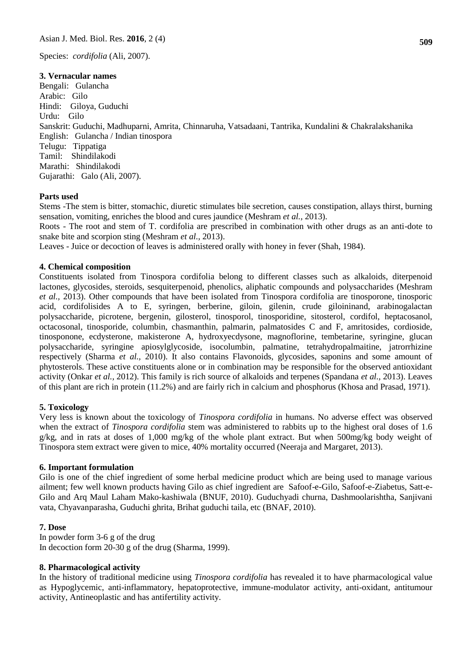Species: *cordifolia* (Ali, 2007).

#### **3. Vernacular names**

Bengali: Gulancha Arabic: Gilo Hindi: Giloya, Guduchi Urdu: Gilo Sanskrit: Guduchi, Madhuparni, Amrita, Chinnaruha, Vatsadaani, Tantrika, Kundalini & Chakralakshanika English: Gulancha / Indian tinospora Telugu: Tippatiga Tamil: Shindilakodi Marathi: Shindilakodi Gujarathi: Galo (Ali, 2007).

### **Parts used**

Stems -The stem is bitter, stomachic, diuretic stimulates bile secretion, causes constipation, allays thirst, burning sensation, vomiting, enriches the blood and cures jaundice (Meshram *et al.,* 2013).

Roots - The root and stem of T. cordifolia are prescribed in combination with other drugs as an anti-dote to snake bite and scorpion sting (Meshram *et al.,* 2013).

Leaves - Juice or decoction of leaves is administered orally with honey in fever (Shah, 1984).

#### **4. Chemical composition**

Constituents isolated from Tinospora cordifolia belong to different classes such as alkaloids, diterpenoid lactones, glycosides, steroids, sesquiterpenoid, phenolics, aliphatic compounds and polysaccharides (Meshram *et al.,* 2013). Other compounds that have been isolated from Tinospora cordifolia are tinosporone, tinosporic acid, cordifolisides A to E, syringen, berberine, giloin, gilenin, crude giloininand, arabinogalactan polysaccharide, picrotene, bergenin, gilosterol, tinosporol, tinosporidine, sitosterol, cordifol, heptacosanol, octacosonal, tinosporide, columbin, chasmanthin, palmarin, palmatosides C and F, amritosides, cordioside, tinosponone, ecdysterone, makisterone A, hydroxyecdysone, magnoflorine, tembetarine, syringine, glucan polysaccharide, syringine apiosylglycoside, isocolumbin, palmatine, tetrahydropalmaitine, jatrorrhizine respectively (Sharma *et al.,* 2010). It also contains Flavonoids, glycosides, saponins and some amount of phytosterols. These active constituents alone or in combination may be responsible for the observed antioxidant activity (Onkar *et al.,* 2012). This family is rich source of alkaloids and terpenes (Spandana *et al.,* 2013). Leaves of this plant are rich in protein (11.2%) and are fairly rich in calcium and phosphorus (Khosa and Prasad, 1971).

#### **5. Toxicology**

Very less is known about the toxicology of *Tinospora cordifolia* in humans. No adverse effect was observed when the extract of *Tinospora cordifolia* stem was administered to rabbits up to the highest oral doses of 1.6 g/kg, and in rats at doses of 1,000 mg/kg of the whole plant extract. But when 500mg/kg body weight of Tinospora stem extract were given to mice, 40% mortality occurred (Neeraja and Margaret, 2013).

#### **6. Important formulation**

Gilo is one of the chief ingredient of some herbal medicine product which are being used to manage various ailment; few well known products having Gilo as chief ingredient are Safoof-e-Gilo, Safoof-e-Ziabetus, Satt-e-Gilo and Arq Maul Laham Mako-kashiwala (BNUF, 2010). Guduchyadi churna, Dashmoolarishtha, Sanjivani vata, Chyavanparasha, Guduchi ghrita, Brihat guduchi taila, etc (BNAF, 2010).

#### **7. Dose**

In powder form 3-6 g of the drug In decoction form 20-30 g of the drug (Sharma, 1999).

#### **8. Pharmacological activity**

In the history of traditional medicine using *Tinospora cordifolia* has revealed it to have pharmacological value as Hypoglycemic, anti-inflammatory, hepatoprotective, immune-modulator activity, anti-oxidant, antitumour activity, Antineoplastic and has antifertility activity.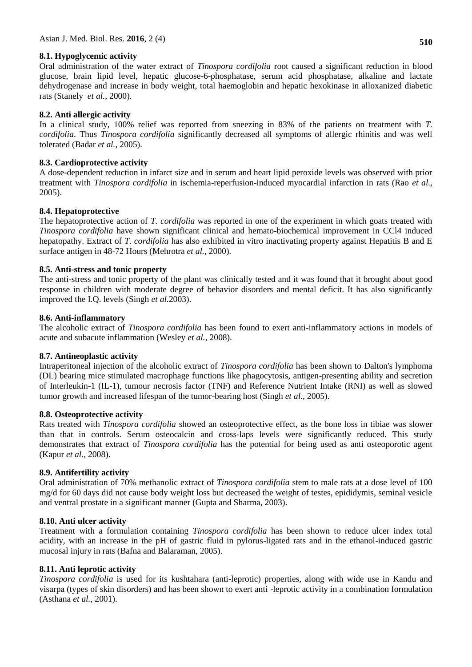# **8.1. Hypoglycemic activity**

Oral administration of the water extract of *Tinospora cordifolia* root caused a significant reduction in blood glucose, brain lipid level, hepatic glucose-6-phosphatase, serum acid phosphatase, alkaline and lactate dehydrogenase and increase in body weight, total haemoglobin and hepatic hexokinase in alloxanized diabetic rats (Stanely *et al.,* 2000).

# **8.2. Anti allergic activity**

In a clinical study, 100% relief was reported from sneezing in 83% of the patients on treatment with *T. cordifolia*. Thus *Tinospora cordifolia* significantly decreased all symptoms of allergic rhinitis and was well tolerated (Badar *et al.,* 2005).

## **8.3. Cardioprotective activity**

A dose-dependent reduction in infarct size and in serum and heart lipid peroxide levels was observed with prior treatment with *Tinospora cordifolia* in ischemia-reperfusion-induced myocardial infarction in rats (Rao *et al.,* 2005).

## **8.4. Hepatoprotective**

The hepatoprotective action of *T. cordifolia* was reported in one of the experiment in which goats treated with *Tinospora cordifolia* have shown significant clinical and hemato-biochemical improvement in CCl4 induced hepatopathy. Extract of *T. cordifolia* has also exhibited in vitro inactivating property against Hepatitis B and E surface antigen in 48-72 Hours (Mehrotra *et al.,* 2000).

## **8.5. Anti-stress and tonic property**

The anti-stress and tonic property of the plant was clinically tested and it was found that it brought about good response in children with moderate degree of behavior disorders and mental deficit. It has also significantly improved the I.Q. levels (Singh *et al.*2003).

### **8.6. Anti-inflammatory**

The alcoholic extract of *Tinospora cordifolia* has been found to exert anti-inflammatory actions in models of acute and subacute inflammation (Wesley *et al.,* 2008).

### **8.7. Antineoplastic activity**

Intraperitoneal injection of the alcoholic extract of *Tinospora cordifolia* has been shown to Dalton's lymphoma (DL) bearing mice stimulated macrophage functions like phagocytosis, antigen-presenting ability and secretion of Interleukin-1 (IL-1), tumour necrosis factor (TNF) and Reference Nutrient Intake (RNI) as well as slowed tumor growth and increased lifespan of the tumor-bearing host (Singh *et al.,* 2005).

### **8.8. Osteoprotective activity**

Rats treated with *Tinospora cordifolia* showed an osteoprotective effect, as the bone loss in tibiae was slower than that in controls. Serum osteocalcin and cross-laps levels were significantly reduced. This study demonstrates that extract of *Tinospora cordifolia* has the potential for being used as anti osteoporotic agent (Kapur *et al.,* 2008).

### **8.9. Antifertility activity**

Oral administration of 70% methanolic extract of *Tinospora cordifolia* stem to male rats at a dose level of 100 mg/d for 60 days did not cause body weight loss but decreased the weight of testes, epididymis, seminal vesicle and ventral prostate in a significant manner (Gupta and Sharma, 2003).

### **8.10. Anti ulcer activity**

Treatment with a formulation containing *Tinospora cordifolia* has been shown to reduce ulcer index total acidity, with an increase in the pH of gastric fluid in pylorus-ligated rats and in the ethanol-induced gastric mucosal injury in rats (Bafna and Balaraman, 2005).

# **8.11. Anti leprotic activity**

*Tinospora cordifolia* is used for its kushtahara (anti-leprotic) properties, along with wide use in Kandu and visarpa (types of skin disorders) and has been shown to exert anti -leprotic activity in a combination formulation (Asthana *et al.,* 2001).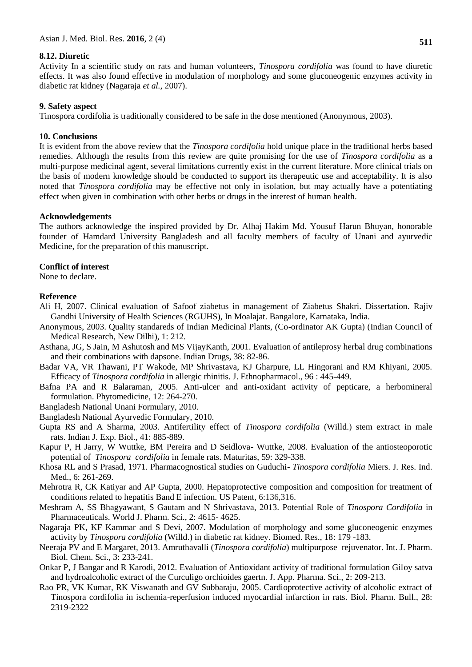#### **8.12. Diuretic**

Activity In a scientific study on rats and human volunteers, *Tinospora cordifolia* was found to have diuretic effects. It was also found effective in modulation of morphology and some gluconeogenic enzymes activity in diabetic rat kidney (Nagaraja *et al.,* 2007).

#### **9. Safety aspect**

Tinospora cordifolia is traditionally considered to be safe in the dose mentioned (Anonymous, 2003).

#### **10. Conclusions**

It is evident from the above review that the *Tinospora cordifolia* hold unique place in the traditional herbs based remedies. Although the results from this review are quite promising for the use of *Tinospora cordifolia* as a multi-purpose medicinal agent, several limitations currently exist in the current literature. More clinical trials on the basis of modern knowledge should be conducted to support its therapeutic use and acceptability. It is also noted that *Tinospora cordifolia* may be effective not only in isolation, but may actually have a potentiating effect when given in combination with other herbs or drugs in the interest of human health.

#### **Acknowledgements**

The authors acknowledge the inspired provided by Dr. Alhaj Hakim Md. Yousuf Harun Bhuyan, honorable founder of Hamdard University Bangladesh and all faculty members of faculty of Unani and ayurvedic Medicine, for the preparation of this manuscript.

#### **Conflict of interest**

None to declare.

#### **Reference**

- Ali H, 2007. Clinical evaluation of Safoof ziabetus in management of Ziabetus Shakri. Dissertation. Rajiv Gandhi University of Health Sciences (RGUHS), In Moalajat. Bangalore, Karnataka, India.
- Anonymous, 2003. Quality standareds of Indian Medicinal Plants, (Co-ordinator AK Gupta) (Indian Council of Medical Research, New Dilhi), 1: 212.
- Asthana, JG, S Jain, M Ashutosh and MS VijayKanth, 2001. Evaluation of antileprosy herbal drug combinations and their combinations with dapsone. Indian Drugs, 38: 82-86.
- Badar VA, VR Thawani, PT Wakode, MP Shrivastava, KJ Gharpure, LL Hingorani and RM Khiyani, 2005. Efficacy of *Tinospora cordifolia* in allergic rhinitis. J. Ethnopharmacol., 96 : 445-449.
- Bafna PA and R Balaraman, 2005. Anti-ulcer and anti-oxidant activity of pepticare, a herbomineral formulation. Phytomedicine, 12: 264-270.
- Bangladesh National Unani Formulary, 2010.

Bangladesh National Ayurvedic Formulary, 2010.

- Gupta RS and A Sharma, 2003. Antifertility effect of *Tinospora cordifolia* (Willd.) stem extract in male rats. Indian J. Exp. Biol., 41: 885-889.
- Kapur P, H Jarry, W Wuttke, BM Pereira and D Seidlova- Wuttke, 2008. Evaluation of the antiosteoporotic potential of *Tinospora cordifolia* in female rats. Maturitas, 59: 329-338.
- Khosa RL and S Prasad, 1971. Pharmacognostical studies on Guduchi- *Tinospora cordifolia* Miers. J. Res. Ind. Med., 6: 261-269.
- Mehrotra R, CK Katiyar and AP Gupta, 2000. Hepatoprotective composition and composition for treatment of conditions related to hepatitis Band E infection. US Patent, 6:136,316.
- Meshram A, SS Bhagyawant, S Gautam and N Shrivastava, 2013. Potential Role of *Tinospora Cordifolia* in Pharmaceuticals. World J. Pharm. Sci., 2: 4615- 4625.
- Nagaraja PK, KF Kammar and S Devi, 2007. Modulation of morphology and some gluconeogenic enzymes activity by *Tinospora cordifolia* (Willd.) in diabetic rat kidney. Biomed. Res., 18: 179 -183.
- Neeraja PV and E Margaret, 2013. Amruthavalli (*Tinospora cordifolia*) multipurpose rejuvenator. Int. J. Pharm. Biol. Chem. Sci., 3: 233-241.
- Onkar P, J Bangar and R Karodi, 2012. Evaluation of Antioxidant activity of traditional formulation Giloy satva and hydroalcoholic extract of the Curculigo orchioides gaertn. J. App. Pharma. Sci., 2: 209-213.
- Rao PR, VK Kumar, RK Viswanath and GV Subbaraju, 2005. Cardioprotective activity of alcoholic extract of Tinospora cordifolia in ischemia-reperfusion induced myocardial infarction in rats. Biol. Pharm. Bull., 28: 2319-2322